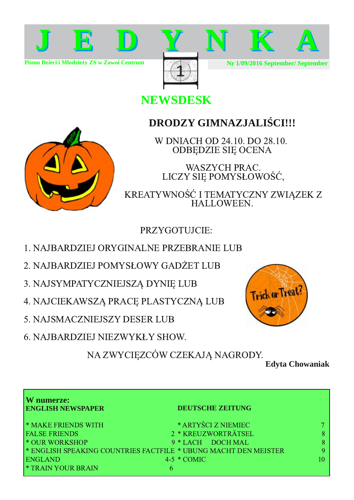

Pismo Dzieci i Młodzie v ZS w Zawoi Centrum



Nr 1/09/2016 September/ September

### **NEWSDESK**

### **DRODZY GIMNAZJALI CI!!!**

W DNIACH OD 24.10, DO 28.10. **ODBEDZIE SIE OCENA** 

**WASZYCH PRAC.** LICZY SIĘ POMYSŁOWOŚĆ,

KREATYWNOŚĆ I TEMATYCZNY ZWIĄZEK Z HALLOWEEN.

PRZYGOTUJCIE:

- 1. NAJBARDZIEJ ORYGINALNE PRZEBRANIE LUB
- 2. NAJBARDZIEJ POMYSŁOWY GADŻET LUB
- 3. NAJSYMPATYCZNIEJSZĄ DYNIĘ LUB
- 4. NAJCIEKAWSZĄ PRACĘ PLASTYCZNĄ LUB
- 5. NAJSMACZNIEJSZY DESER LUB
- **6. NAJBARDZIEJ NIEZWYKŁY SHOW.**

**Trick or Treat!** 

NA ZWYCIĘZCÓW CZEKAJĄ NAGRODY.

**Edyta Chowaniak** 

| W numerze:<br><b>ENGLISH NEWSPAPER</b> | <b>DEUTSCHE ZEITUNG</b>                                         |   |
|----------------------------------------|-----------------------------------------------------------------|---|
| <b>* MAKE FRIENDS WITH</b>             | * ARTYŚCI Z NIEMIEC                                             |   |
| <b>FALSE FRIENDS</b>                   | 2 * KREUZWORTRÄTSEL                                             |   |
| <sup>*</sup> OUR WORKSHOP              | 9 * LACH DOCH MAL                                               |   |
|                                        | * ENGLISH SPEAKING COUNTRIES FACTFILE * UBUNG MACHT DEN MEISTER | Q |
| <b>ENGLAND</b>                         | $4-5 * COMIC$                                                   |   |
| * TRAIN YOUR BRAIN                     | 6                                                               |   |

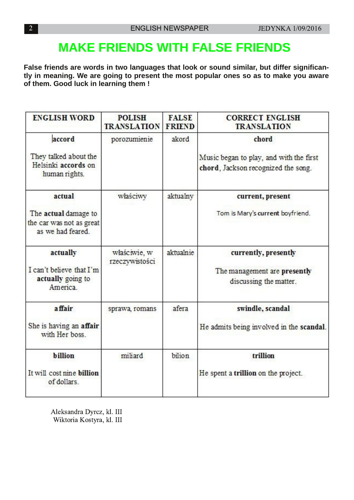## **MAKE FRIENDS WITH FALSE FRIENDS**

**False friends are words in two languages that look or sound similar, but differ significantly in meaning. We are going to present the most popular ones so as to make you aware of them. Good luck in learning them !**

| <b>ENGLISH WORD</b>                                                   | <b>POLISH</b><br><b>TRANSLATION</b> | <b>FALSE</b><br><b>FRIEND</b> | <b>CORRECT ENGLISH</b><br><b>TRANSLATION</b>                                   |
|-----------------------------------------------------------------------|-------------------------------------|-------------------------------|--------------------------------------------------------------------------------|
| accord<br>They talked about the                                       | porozumienie                        | akord                         | chord                                                                          |
| Helsinki accords on<br>human rights.                                  |                                     |                               | Music began to play, and with the first<br>chord, Jackson recognized the song. |
| actual                                                                | właściwy                            | aktualny                      | current, present                                                               |
| The actual damage to<br>the car was not as great<br>as we had feared. |                                     |                               | Tom is Mary's current boyfriend.                                               |
| actually                                                              | właściwie, w<br>rzeczywistości      | aktualnie                     | currently, presently                                                           |
| I can't believe that I'm<br>actually going to<br>America              |                                     |                               | The management are presently<br>discussing the matter.                         |
| a ffair                                                               | sprawa, romans                      | afera                         | swindle, scandal                                                               |
| She is having an affair<br>with Her boss                              |                                     |                               | He admits being involved in the scandal.                                       |
| billion                                                               | miliard                             | bilion                        | trillion                                                                       |
| It will cost nine billion<br>of dollars.                              |                                     |                               | He spent a trillion on the project.                                            |

Aleksandra Dyrcz, kl. III Wiktoria Kostyra, kl. III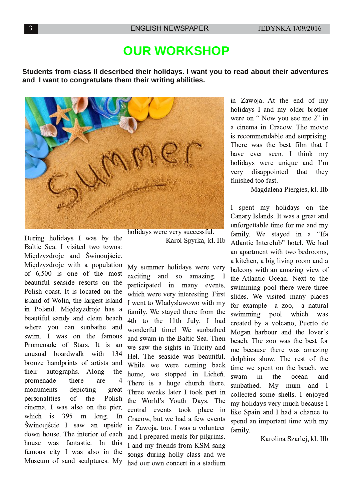## **OUR WORKSHOP**

**Students from class II described their holidays. I want you to read about their adventures and I want to congratulate them their writing abilities.**



During holidays I was by the Baltic Sea. I visited two towns: Międzyzdroje and Świnoujście. Międzyzdroje with a population of  $6,500$  is one of the most beautiful seaside resorts on the Polish coast. It is located on the island of Wolin, the largest island in Poland. Międzyzdroje has a beautiful sandy and clean beach where you can sunbathe and swim. I was on the famous Promenade of Stars. It is an unusual boardwalk with 134 bronze handprints of artists and their autographs. Along the promenade there are 4 monuments depicting great personalities of the Polish cinema. I was also on the pier, which is  $395$  m long. In Świnoujście I saw an upside down house. The interior of each house was fantastic. In this famous city I was also in the Museum of sand sculptures. My holidays were very successful. Karol Spyrka, kl. IIb

My summer holidays were very  $exciting$  and so amazing. I participated in many events, which were very interesting. First I went to Władysławowo with my family. We stayed there from the 4th to the 11th July. I had wonderful time! We sunbathed and swam in the Baltic Sea. Then we saw the sights in Tricity and Hel. The seaside was beautiful. While we were coming back home, we stopped in Lichen. There is a huge church there. Three weeks later I took part in the World's Youth Days. The central events took place in Cracow, but we had a few events in Zawoja, too. I was a volunteer and I prepared meals for pilgrims. I and my friends from KSM sang songs during holly class and we had our own concert in a stadium

in Zawoja. At the end of my holidays I and my older brother were on "Now you see me  $2$ " in a cinema in Cracow. The movie is recommendable and surprising. There was the best film that I have ever seen. I think my holidays were unique and I'm very disappointed that they finished too fast.

Magdalena Piergies, kl. IIb

I spent my holidays on the Canary Islands. It was a great and unforgettable time for me and my family. We stayed in a "Ifa Atlantic Interclub" hotel. We had an apartment with two bedrooms, a kitchen, a big living room and a balcony with an amazing view of the Atlantic Ocean. Next to the swimming pool there were three slides. We visited many places for example a zoo, a natural swimming pool which was created by a volcano, Puerto de Mogan harbour and the lover's beach. The zoo was the best for me because there was amazing dolphins show. The rest of the time we spent on the beach, we swam in the ocean and sunbathed. My mum and I collected some shells. I enjoyed my holidays very much because I like Spain and I had a chance to spend an important time with my family.

Karolina Szarlej, kl. IIb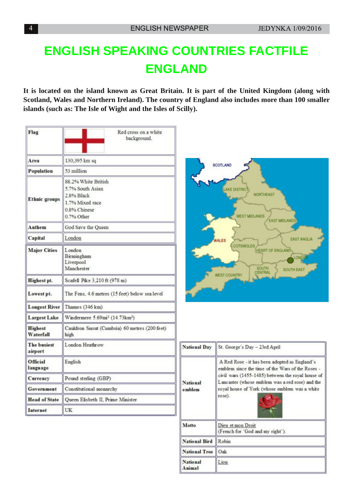## **ENGLISH SPEAKING COUNTRIES FACTFILE ENGLAND**

It is located on the island known as Great Britain. It is part of the United Kingdom (along with **Scotland, Wales and Northern Ireland). The country of England also includes more than 100 smaller islands (such as: The Isle of Wight and the Isles of Scilly).**

| Flag                          | Red cross on a white<br>background.                                                                    |  |  |
|-------------------------------|--------------------------------------------------------------------------------------------------------|--|--|
| Area                          | 130,395 km sq                                                                                          |  |  |
| Population                    | 53 million                                                                                             |  |  |
| <b>Ethnic groups</b>          | 88.2% White British<br>5.7% South Asian<br>2.8% Black<br>1.7% Mixed race<br>0.8% Chinese<br>0.7% Other |  |  |
| <b>Anthem</b>                 | God Save the Queen                                                                                     |  |  |
| Capital                       | London                                                                                                 |  |  |
| <b>Major Cities</b>           | London<br>Birmingham<br>Liverpool<br>Manchester                                                        |  |  |
| Highest pt.                   | Scafell Pike 3,210 ft (978 m)                                                                          |  |  |
| Lowest pt.                    | The Fens, 4.6 metres (15 feet) below sea level                                                         |  |  |
| <b>Longest River</b>          | Thames (346 km)                                                                                        |  |  |
| <b>Largest Lake</b>           | Windermere 5.69mi <sup>2</sup> (14.73km <sup>2</sup> )                                                 |  |  |
| <b>Highest</b><br>Waterfall   | Cauldron Snout (Cumbria) 60 metres (200 feet)<br>high                                                  |  |  |
| <b>The busiest</b><br>airport | London Heathrow                                                                                        |  |  |
| Official<br>language          | English                                                                                                |  |  |
| Currency                      | Pound sterling (GBP)                                                                                   |  |  |
| Government                    | Constitutional monarchy                                                                                |  |  |
| <b>Head of State</b>          | Queen Elisbeth II, Prime Minister                                                                      |  |  |
| Internet                      | UK                                                                                                     |  |  |



| <b>National Day</b>       | St. George's Day - 23rd April                                                                                                                                                                                                                                        |
|---------------------------|----------------------------------------------------------------------------------------------------------------------------------------------------------------------------------------------------------------------------------------------------------------------|
| <b>National</b><br>emblem | A Red Rose - it has been adopted as England's<br>emblem since the time of the Wars of the Roses -<br>civil wars (1455-1485) between the royal house of<br>Lancaster (whose emblem was a red rose) and the<br>royal house of York (whose emblem was a white<br>rose). |
| Motto                     | Dieu et mon Droit<br>(French for 'God and my right').                                                                                                                                                                                                                |
| <b>National Bird</b>      | Robin                                                                                                                                                                                                                                                                |
| <b>National Tree</b>      | Oak                                                                                                                                                                                                                                                                  |
| <b>National</b><br>Animal | Lion                                                                                                                                                                                                                                                                 |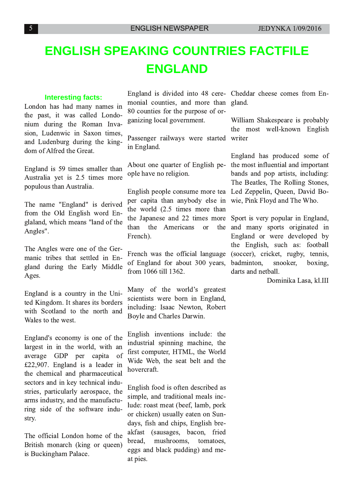## **ENGLISH SPEAKING COUNTRIES FACTFILE ENGLAND**

#### **Interesting facts:**

London has had many names in the past, it was called Londonium during the Roman Invasion, Ludenwic in Saxon times, and Ludenburg during the kingdom of Alfred the Great.

England is 59 times smaller than Australia yet is 2.5 times more populous than Australia.

The name "England" is derived from the Old English word Englaland, which means "land of the Angles". .

The Angles were one of the Germanic tribes that settled in England during the Early Middle Ages.

England is a country in the United Kingdom. It shares its borders with Scotland to the north and Wales to the west.

England's economy is one of the largest in in the world, with an average GDP per capita of £22,907. England is a leader in the chemical and pharmaceutical sectors and in key technical industries, particularly aerospace, the arms industry, and the manufacturing side of the software industry.

The official London home of the British monarch (king or queen) is Buckingham Palace.

England is divided into 48 cere- Cheddar cheese comes from Enmonial counties, and more than 80 counties for the purpose of organizing local government.

Passenger railways were started in England.

About one quarter of English people have no religion.

English people consume more tea per capita than anybody else in the world  $(2.5$  times more than the Japanese and 22 times more than the Americans or the French).

French was the official language of England for about 300 years, from 1066 till 1362.

Many of the world's greatest scientists were born in England, including: Isaac Newton, Robert Boyle and Charles Darwin.

English inventions include: the industrial spinning machine, the first computer, HTML, the World Wide Web, the seat belt and the hovercraft.

English food is often described as simple, and traditional meals include: roast meat (beef, lamb, pork or chicken) usually eaten on Sundays, fish and chips, English breakfast (sausages, bacon, fried bread, mushrooms, tomatoes, eggs and black pudding) and meat pies.

gland.

William Shakespeare is probably the most well-known English writer

England has produced some of the most influential and important bands and pop artists, including: The Beatles, The Rolling Stones, Led Zeppelin, Queen, David Bowie, Pink Floyd and The Who.

Sport is very popular in England, and many sports originated in England or were developed by the English, such as: football (soccer), cricket, rugby, tennis, badminton, snooker, boxing, darts and netball.

Dominika Lasa, kl.III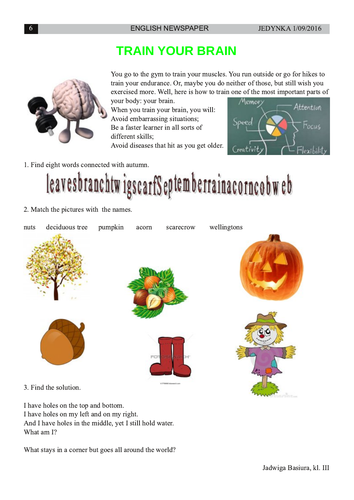## **TRAIN YOUR BRAIN**

You go to the gym to train your muscles. You run outside or go for hikes to train your endurance. Or, maybe you do neither of those, but still wish you exercised more. Well, here is how to train one of the most important parts of

your body: your brain. When you train your brain, you will: Avoid embarrassing situations; Be a faster learner in all sorts of different skills: Avoid diseases that hit as you get older.



1. Find eight words connected with autumn.

leavesbranchtwigscarfSeptemberrainacorncobweb

2. Match the pictures with the names.



3. Find the solution.

I have holes on the top and bottom. I have holes on my left and on my right. And I have holes in the middle, yet I still hold water. What am I?

What stays in a corner but goes all around the world?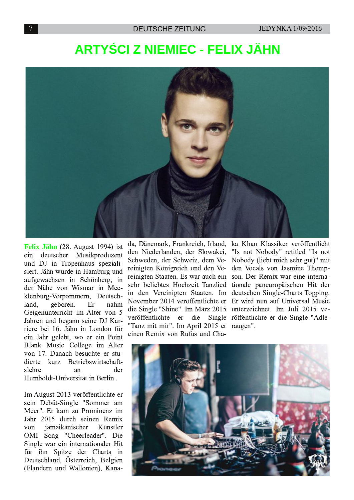## **ARTY CIZ NIEMIEC - FELIX JÄHN**



Felix Jähn (28. August 1994) ist deutscher Musikproduzent ein und DJ in Tropenhaus spezialisiert. Jähn wurde in Hamburg und aufgewachsen in Schönberg, in der Nähe von Wismar in Mecklenburg-Vorpommern, Deutschgeboren. land. Er nahm Geigenunterricht im Alter von 5 Jahren und begann seine DJ Karriere bei 16. Jähn in London für ein Jahr gelebt, wo er ein Point Blank Music College im Alter von 17. Danach besuchte er studierte kurz Betriebswirtschaftslehre der an Humboldt-Universität in Berlin.

Im August 2013 veröffentlichte er sein Debüt-Single "Sommer am Meer". Er kam zu Prominenz im Jahr 2015 durch seinen Remix jamaikanischer von Künstler OMI Song "Cheerleader". Die Single war ein internationaler Hit für ihn Spitze der Charts in Deutschland, Österreich, Belgien (Flandern und Wallonien), Kanada, Dänemark, Frankreich, Irland, ka Khan Klassiker veröffentlicht den Niederlanden, der Slowakei, Schweden, der Schweiz, dem Ve- Nobody (liebt mich sehr gut)" mit reinigten Königreich und den Vereinigten Staaten. Es war auch ein sehr beliebtes Hochzeit Tanzlied tionale paneuropäischen Hit der in den Vereinigten Staaten. Im deutschen Single-Charts Topping. November 2014 veröffentlichte er Er wird nun auf Universal Music die Single "Shine". Im März 2015 unterzeichnet. Im Juli 2015 veveröffentlichte "Tanz mit mir". Im April 2015 er raugen". einen Remix von Rufus und Cha-

"Is not Nobody" retitled "Is not den Vocals von Jasmine Thompson. Der Remix war eine internaer die Single röffentlichte er die Single "Adle-

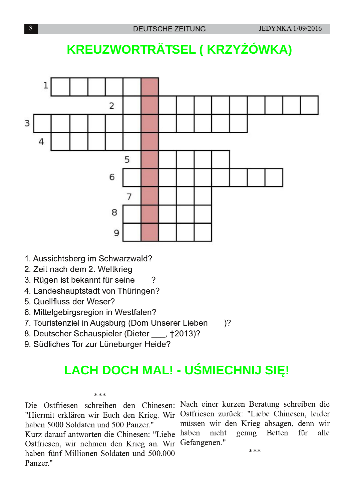# **KREUZWORTRÄTSEL (KRZY ÓWKA)**



- 1. Aussichtsberg im Schwarzwald?
- 2. Zeit nach dem 2. Weltkrieg
- 3. Rügen ist bekannt für seine ?
- 4. Landeshauptstadt von Thüringen?
- 5. Quellfluss der Weser?
- 6. Mittelgebirgsregion in Westfalen?
- 7. Touristenziel in Augsburg (Dom Unserer Lieben )?
- 8. Deutscher Schauspieler (Dieter, t2013)?
- 9. Südliches Tor zur Lüneburger Heide?

## **LACH DOCH MAL! - U MIECHNIJ SI !**

#### ماد ماد ماد

"Hiermit erklären wir Euch den Krieg. Wir Ostfriesen zurück: "Liebe Chinesen, leider haben 5000 Soldaten und 500 Panzer." Kurz darauf antworten die Chinesen: "Liebe haben nicht Ostfriesen, wir nehmen den Krieg an. Wir Gefangenen." haben fünf Millionen Soldaten und 500.000 Panzer."

Die Ostfriesen schreiben den Chinesen: Nach einer kurzen Beratung schreiben die müssen wir den Krieg absagen, denn wir genug **Betten** für alle

\*\*\*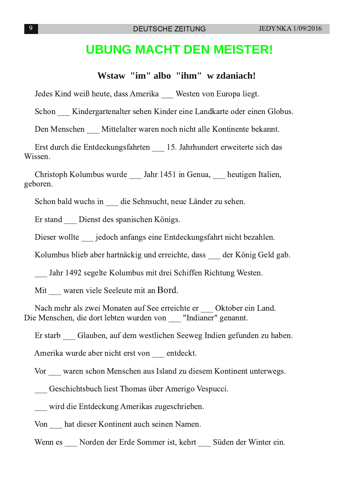### **UBUNG MACHT DEN MEISTER!**

#### Wstaw "im" albo "ihm" w zdaniach!

Jedes Kind weiß heute, dass Amerika Westen von Europa liegt.

Schon Kindergartenalter sehen Kinder eine Landkarte oder einen Globus.

Den Menschen Mittelalter waren noch nicht alle Kontinente bekannt.

Erst durch die Entdeckungsfahrten 15. Jahrhundert erweiterte sich das Wissen.

Christoph Kolumbus wurde \_\_ Jahr 1451 in Genua, \_\_ heutigen Italien, geboren.

Schon bald wuchs in die Sehnsucht, neue Länder zu sehen.

Er stand Dienst des spanischen Königs.

Dieser wollte jedoch anfangs eine Entdeckungsfahrt nicht bezahlen.

Kolumbus blieb aber hartnäckig und erreichte, dass der König Geld gab.

Jahr 1492 segelte Kolumbus mit drei Schiffen Richtung Westen.

Mit waren viele Seeleute mit an Bord.

Nach mehr als zwei Monaten auf See erreichte er Oktober ein Land. Die Menschen, die dort lebten wurden von "Indianer" genannt.

Er starb Glauben, auf dem westlichen Seeweg Indien gefunden zu haben.

Amerika wurde aber nicht erst von entdeckt.

Vor waren schon Menschen aus Island zu diesem Kontinent unterwegs.

Geschichtsbuch liest Thomas über Amerigo Vespucci.

wird die Entdeckung Amerikas zugeschrieben.

Von hat dieser Kontinent auch seinen Namen.

Wenn es Norden der Erde Sommer ist, kehrt Süden der Winter ein.